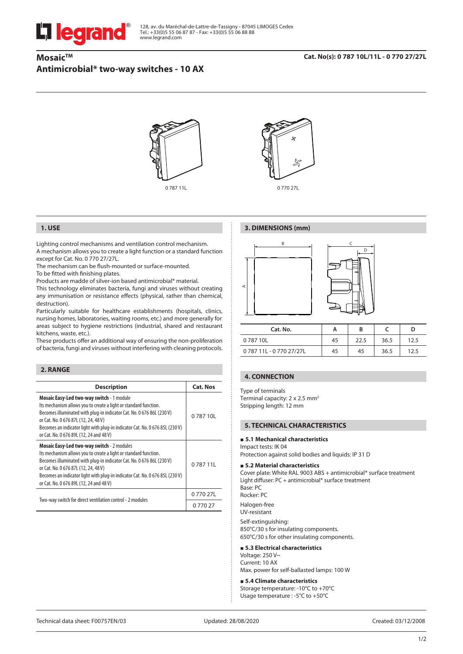# **legrand**

128, av. du Maréchal-de-Lattre-de-Tassigny - 87045 LIMOGES Cedex Tel.: +33(0)5 55 06 87 87 - Fax: +33(0)5 55 06 88 88 www.legrand.com

# **Mosaic™ Antimicrobial\* two-way switches - 10 AX**

#### **Cat. No(s): 0 787 10L/11L - 0 770 27/27L**



0 787 11L 0 770 27L



**3. DIMENSIONS (mm)**

# **1. USE**

Lighting control mechanisms and ventilation control mechanism. A mechanism allows you to create a light function or a standard function except for Cat. No. 0 770 27/27L.

The mechanism can be flush-mounted or surface-mounted.

To be fitted with finishing plates.

Products are madde of silver-ion based antimicrobial\* material.

This technology eliminates bacteria, fungi and viruses without creating any immunisation or resistance effects (physical, rather than chemical, destruction).

Particularly suitable for healthcare establishments (hospitals, clinics, nursing homes, laboratories, waiting rooms, etc.) and more generally for areas subject to hygiene restrictions (industrial, shared and restaurant kitchens, waste, etc.).

These products offer an additional way of ensuring the non-proliferation of bacteria, fungi and viruses without interfering with cleaning protocols.

#### **2. RANGE**

| <b>Description</b>                                                                                                                                                                                                                                                                                                                                                | <b>Cat. Nos</b> |
|-------------------------------------------------------------------------------------------------------------------------------------------------------------------------------------------------------------------------------------------------------------------------------------------------------------------------------------------------------------------|-----------------|
| Mosaic Easy-Led two-way switch - 1 module<br>Its mechanism allows you to create a light or standard function.<br>Becomes illuminated with plug-in indicator Cat. No. 0 676 86L (230 V)<br>or Cat. No. 0 676 87L (12, 24, 48 V)<br>Becomes an indicator light with plug-in indicator Cat. No. 0 676 85L (230 V)<br>or Cat. No. 0 676 89L (12, 24 and 48 V)         | 0 787 10        |
| <b>Mosaic Easy-Led two-way switch - 2 modules</b><br>Its mechanism allows you to create a light or standard function.<br>Becomes illuminated with plug-in indicator Cat. No. 0 676 86L (230 V)<br>or Cat. No. 0 676 87L (12, 24, 48 V)<br>Becomes an indicator light with plug-in indicator Cat. No. 0 676 85L (230 V)<br>or Cat. No. 0 676 89L (12, 24 and 48 V) | 0 787 11        |
|                                                                                                                                                                                                                                                                                                                                                                   | 077027L         |
| Two-way switch for direct ventilation control - 2 modules                                                                                                                                                                                                                                                                                                         | 0 770 27        |



| Cat. No.           | А  | в    |      | D    |
|--------------------|----|------|------|------|
| 078710L            | 45 | 22.5 | 36.5 | 12.5 |
| 078711L-077027/27L | 45 | 45   | 36.5 | 12.5 |

#### **4. CONNECTION**

Type of terminals Terminal capacity: 2 x 2.5 mm<sup>2</sup> Stripping length: 12 mm

#### **5. TECHNICAL CHARACTERISTICS**

#### **5.1 Mechanical characteristics**

Impact tests: IK 04

Protection against solid bodies and liquids: IP 31 D

#### **5.2 Material characteristics**

Cover plate: White RAL 9003 ABS + antimicrobial\* surface treatment Light diffuser: PC + antimicrobial\* surface treatment Base: PC Rocker: PC Halogen-free UV-resistant Self-extinguishing:

850°C/30 s for insulating components. 650°C/30 s for other insulating components.

# **5.3 Electrical characteristics**

Voltage: 250 V~ Current: 10 AX Max. power for self-ballasted lamps: 100 W

#### **5.4 Climate characteristics**

Storage temperature: -10°C to +70°C Usage temperature : -5°C to +50°C